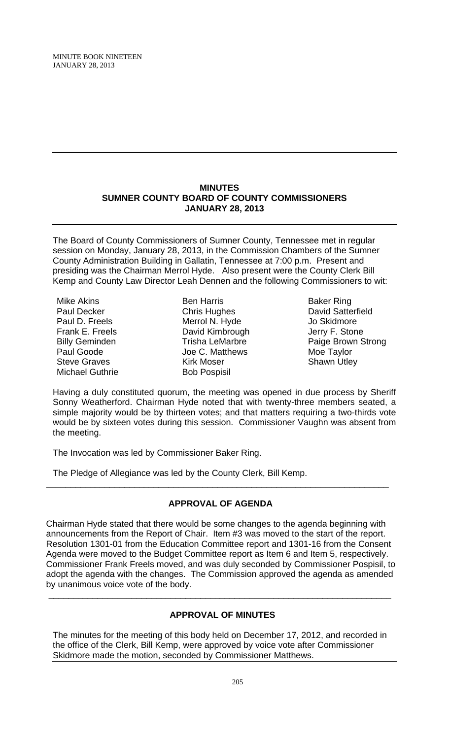MINUTE BOOK NINETEEN JANUARY 28, 2013

#### **MINUTES SUMNER COUNTY BOARD OF COUNTY COMMISSIONERS JANUARY 28, 2013**

The Board of County Commissioners of Sumner County, Tennessee met in regular session on Monday, January 28, 2013, in the Commission Chambers of the Sumner County Administration Building in Gallatin, Tennessee at 7:00 p.m. Present and presiding was the Chairman Merrol Hyde. Also present were the County Clerk Bill Kemp and County Law Director Leah Dennen and the following Commissioners to wit:

Mike Akins Paul Decker Paul D. Freels Frank E. Freels Billy Geminden Paul Goode Steve Graves Michael Guthrie

Ben Harris Chris Hughes Merrol N. Hyde David Kimbrough Trisha LeMarbre Joe C. Matthews Kirk Moser Bob Pospisil

Baker Ring David Satterfield Jo Skidmore Jerry F. Stone Paige Brown Strong Moe Taylor Shawn Utley

Having a duly constituted quorum, the meeting was opened in due process by Sheriff Sonny Weatherford. Chairman Hyde noted that with twenty-three members seated, a simple majority would be by thirteen votes; and that matters requiring a two-thirds vote would be by sixteen votes during this session. Commissioner Vaughn was absent from the meeting.

The Invocation was led by Commissioner Baker Ring.

The Pledge of Allegiance was led by the County Clerk, Bill Kemp.

# **APPROVAL OF AGENDA**

\_\_\_\_\_\_\_\_\_\_\_\_\_\_\_\_\_\_\_\_\_\_\_\_\_\_\_\_\_\_\_\_\_\_\_\_\_\_\_\_\_\_\_\_\_\_\_\_\_\_\_\_\_\_\_\_\_\_\_\_\_\_\_\_\_\_\_\_\_\_

Chairman Hyde stated that there would be some changes to the agenda beginning with announcements from the Report of Chair. Item #3 was moved to the start of the report. Resolution 1301-01 from the Education Committee report and 1301-16 from the Consent Agenda were moved to the Budget Committee report as Item 6 and Item 5, respectively. Commissioner Frank Freels moved, and was duly seconded by Commissioner Pospisil, to adopt the agenda with the changes. The Commission approved the agenda as amended by unanimous voice vote of the body.

# **APPROVAL OF MINUTES**

\_\_\_\_\_\_\_\_\_\_\_\_\_\_\_\_\_\_\_\_\_\_\_\_\_\_\_\_\_\_\_\_\_\_\_\_\_\_\_\_\_\_\_\_\_\_\_\_\_\_\_\_\_\_\_\_\_\_\_\_\_\_\_\_\_\_\_\_\_\_

The minutes for the meeting of this body held on December 17, 2012, and recorded in the office of the Clerk, Bill Kemp, were approved by voice vote after Commissioner Skidmore made the motion, seconded by Commissioner Matthews.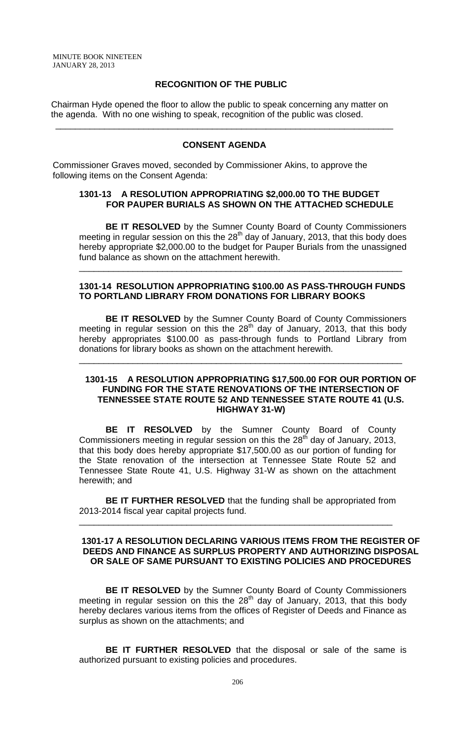### **RECOGNITION OF THE PUBLIC**

 Chairman Hyde opened the floor to allow the public to speak concerning any matter on the agenda. With no one wishing to speak, recognition of the public was closed.

### **CONSENT AGENDA**

\_\_\_\_\_\_\_\_\_\_\_\_\_\_\_\_\_\_\_\_\_\_\_\_\_\_\_\_\_\_\_\_\_\_\_\_\_\_\_\_\_\_\_\_\_\_\_\_\_\_\_\_\_\_\_\_\_\_\_\_\_\_\_\_\_\_\_\_\_

Commissioner Graves moved, seconded by Commissioner Akins, to approve the following items on the Consent Agenda:

#### **1301-13 A RESOLUTION APPROPRIATING \$2,000.00 TO THE BUDGET FOR PAUPER BURIALS AS SHOWN ON THE ATTACHED SCHEDULE**

**BE IT RESOLVED** by the Sumner County Board of County Commissioners meeting in regular session on this the  $28<sup>th</sup>$  day of January, 2013, that this body does hereby appropriate \$2,000.00 to the budget for Pauper Burials from the unassigned fund balance as shown on the attachment herewith.

\_\_\_\_\_\_\_\_\_\_\_\_\_\_\_\_\_\_\_\_\_\_\_\_\_\_\_\_\_\_\_\_\_\_\_\_\_\_\_\_\_\_\_\_\_\_\_\_\_\_\_\_\_\_\_\_\_\_\_\_\_\_\_\_\_\_

### **1301-14 RESOLUTION APPROPRIATING \$100.00 AS PASS-THROUGH FUNDS TO PORTLAND LIBRARY FROM DONATIONS FOR LIBRARY BOOKS**

 **BE IT RESOLVED** by the Sumner County Board of County Commissioners meeting in regular session on this the  $28<sup>th</sup>$  day of January, 2013, that this body hereby appropriates \$100.00 as pass-through funds to Portland Library from donations for library books as shown on the attachment herewith.

\_\_\_\_\_\_\_\_\_\_\_\_\_\_\_\_\_\_\_\_\_\_\_\_\_\_\_\_\_\_\_\_\_\_\_\_\_\_\_\_\_\_\_\_\_\_\_\_\_\_\_\_\_\_\_\_\_\_\_\_\_\_\_\_\_\_

#### **1301-15 A RESOLUTION APPROPRIATING \$17,500.00 FOR OUR PORTION OF FUNDING FOR THE STATE RENOVATIONS OF THE INTERSECTION OF TENNESSEE STATE ROUTE 52 AND TENNESSEE STATE ROUTE 41 (U.S. HIGHWAY 31-W)**

**BE IT RESOLVED** by the Sumner County Board of County Commissioners meeting in regular session on this the 28<sup>th</sup> day of January, 2013, that this body does hereby appropriate \$17,500.00 as our portion of funding for the State renovation of the intersection at Tennessee State Route 52 and Tennessee State Route 41, U.S. Highway 31-W as shown on the attachment herewith; and

**BE IT FURTHER RESOLVED** that the funding shall be appropriated from 2013-2014 fiscal year capital projects fund.

\_\_\_\_\_\_\_\_\_\_\_\_\_\_\_\_\_\_\_\_\_\_\_\_\_\_\_\_\_\_\_\_\_\_\_\_\_\_\_\_\_\_\_\_\_\_\_\_\_\_\_\_\_\_\_\_\_\_\_\_\_\_\_\_

### **1301-17 A RESOLUTION DECLARING VARIOUS ITEMS FROM THE REGISTER OF DEEDS AND FINANCE AS SURPLUS PROPERTY AND AUTHORIZING DISPOSAL OR SALE OF SAME PURSUANT TO EXISTING POLICIES AND PROCEDURES**

**BE IT RESOLVED** by the Sumner County Board of County Commissioners meeting in regular session on this the 28<sup>th</sup> day of January, 2013, that this body hereby declares various items from the offices of Register of Deeds and Finance as surplus as shown on the attachments; and

**BE IT FURTHER RESOLVED** that the disposal or sale of the same is authorized pursuant to existing policies and procedures.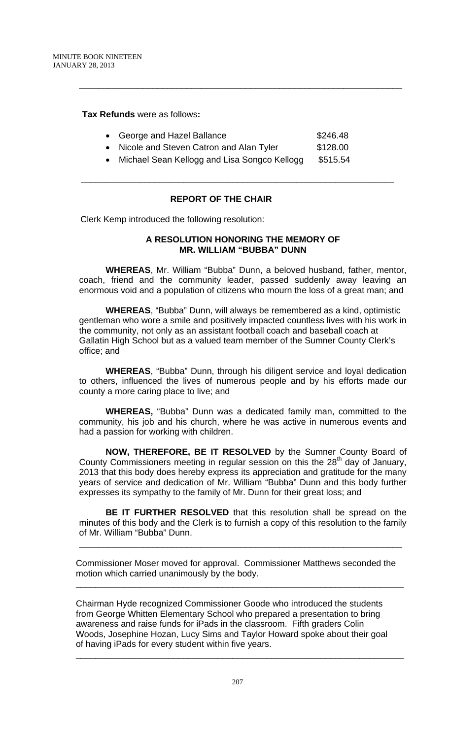**Tax Refunds** were as follows**:** 

|  | • George and Hazel Ballance | \$246.48 |
|--|-----------------------------|----------|
|--|-----------------------------|----------|

\_\_\_\_\_\_\_\_\_\_\_\_\_\_\_\_\_\_\_\_\_\_\_\_\_\_\_\_\_\_\_\_\_\_\_\_\_\_\_\_\_\_\_\_\_\_\_\_\_\_\_\_\_\_\_\_\_\_\_\_\_\_\_\_\_\_

- Nicole and Steven Catron and Alan Tyler \$128.00
- Michael Sean Kellogg and Lisa Songco Kellogg \$515.54

**\_\_\_\_\_\_\_\_\_\_\_\_\_\_\_\_\_\_\_\_\_\_\_\_\_\_\_\_\_\_\_\_\_\_\_\_\_\_\_\_\_\_\_\_\_\_\_\_\_\_\_\_\_\_\_\_\_\_\_\_\_\_\_\_** 

# **REPORT OF THE CHAIR**

Clerk Kemp introduced the following resolution:

# **A RESOLUTION HONORING THE MEMORY OF MR. WILLIAM "BUBBA" DUNN**

**WHEREAS**, Mr. William "Bubba" Dunn, a beloved husband, father, mentor, coach, friend and the community leader, passed suddenly away leaving an enormous void and a population of citizens who mourn the loss of a great man; and

**WHEREAS**, "Bubba" Dunn, will always be remembered as a kind, optimistic gentleman who wore a smile and positively impacted countless lives with his work in the community, not only as an assistant football coach and baseball coach at Gallatin High School but as a valued team member of the Sumner County Clerk's office; and

**WHEREAS**, "Bubba" Dunn, through his diligent service and loyal dedication to others, influenced the lives of numerous people and by his efforts made our county a more caring place to live; and

**WHEREAS,** "Bubba" Dunn was a dedicated family man, committed to the community, his job and his church, where he was active in numerous events and had a passion for working with children.

**NOW, THEREFORE, BE IT RESOLVED** by the Sumner County Board of County Commissioners meeting in regular session on this the  $28<sup>th</sup>$  day of January, 2013 that this body does hereby express its appreciation and gratitude for the many years of service and dedication of Mr. William "Bubba" Dunn and this body further expresses its sympathy to the family of Mr. Dunn for their great loss; and

**BE IT FURTHER RESOLVED** that this resolution shall be spread on the minutes of this body and the Clerk is to furnish a copy of this resolution to the family of Mr. William "Bubba" Dunn.

\_\_\_\_\_\_\_\_\_\_\_\_\_\_\_\_\_\_\_\_\_\_\_\_\_\_\_\_\_\_\_\_\_\_\_\_\_\_\_\_\_\_\_\_\_\_\_\_\_\_\_\_\_\_\_\_\_\_\_\_\_\_\_\_\_\_

Commissioner Moser moved for approval. Commissioner Matthews seconded the motion which carried unanimously by the body.

\_\_\_\_\_\_\_\_\_\_\_\_\_\_\_\_\_\_\_\_\_\_\_\_\_\_\_\_\_\_\_\_\_\_\_\_\_\_\_\_\_\_\_\_\_\_\_\_\_\_\_\_\_\_\_\_\_\_\_\_\_\_\_\_\_\_\_

Chairman Hyde recognized Commissioner Goode who introduced the students from George Whitten Elementary School who prepared a presentation to bring awareness and raise funds for iPads in the classroom. Fifth graders Colin Woods, Josephine Hozan, Lucy Sims and Taylor Howard spoke about their goal of having iPads for every student within five years.

\_\_\_\_\_\_\_\_\_\_\_\_\_\_\_\_\_\_\_\_\_\_\_\_\_\_\_\_\_\_\_\_\_\_\_\_\_\_\_\_\_\_\_\_\_\_\_\_\_\_\_\_\_\_\_\_\_\_\_\_\_\_\_\_\_\_\_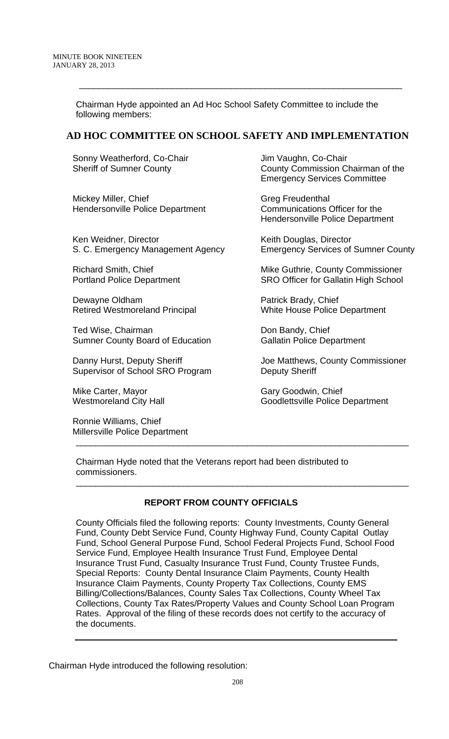Chairman Hyde appointed an Ad Hoc School Safety Committee to include the following members:

# **AD HOC COMMITTEE ON SCHOOL SAFETY AND IMPLEMENTATION**

\_\_\_\_\_\_\_\_\_\_\_\_\_\_\_\_\_\_\_\_\_\_\_\_\_\_\_\_\_\_\_\_\_\_\_\_\_\_\_\_\_\_\_\_\_\_\_\_\_\_\_\_\_\_\_\_\_\_\_\_\_\_\_\_\_\_

Sonny Weatherford, Co-Chair Sheriff of Sumner County

Mickey Miller, Chief Hendersonville Police Department

Ken Weidner, Director S. C. Emergency Management Agency

Richard Smith, Chief Portland Police Department

Dewayne Oldham Retired Westmoreland Principal

Ted Wise, Chairman Sumner County Board of Education

Danny Hurst, Deputy Sheriff Supervisor of School SRO Program

Mike Carter, Mayor Westmoreland City Hall

Ronnie Williams, Chief Millersville Police Department Jim Vaughn, Co-Chair County Commission Chairman of the Emergency Services Committee

Greg Freudenthal Communications Officer for the Hendersonville Police Department

Keith Douglas, Director Emergency Services of Sumner County

Mike Guthrie, County Commissioner SRO Officer for Gallatin High School

Patrick Brady, Chief White House Police Department

Don Bandy, Chief Gallatin Police Department

Joe Matthews, County Commissioner Deputy Sheriff

Gary Goodwin, Chief Goodlettsville Police Department

Chairman Hyde noted that the Veterans report had been distributed to commissioners.

# **REPORT FROM COUNTY OFFICIALS**

\_\_\_\_\_\_\_\_\_\_\_\_\_\_\_\_\_\_\_\_\_\_\_\_\_\_\_\_\_\_\_\_\_\_\_\_\_\_\_\_\_\_\_\_\_\_\_\_\_\_\_\_\_\_\_\_\_\_\_\_\_\_\_\_\_\_\_\_

\_\_\_\_\_\_\_\_\_\_\_\_\_\_\_\_\_\_\_\_\_\_\_\_\_\_\_\_\_\_\_\_\_\_\_\_\_\_\_\_\_\_\_\_\_\_\_\_\_\_\_\_\_\_\_\_\_\_\_\_\_\_\_\_\_\_\_\_

County Officials filed the following reports: County Investments, County General Fund, County Debt Service Fund, County Highway Fund, County Capital Outlay Fund, School General Purpose Fund, School Federal Projects Fund, School Food Service Fund, Employee Health Insurance Trust Fund, Employee Dental Insurance Trust Fund, Casualty Insurance Trust Fund, County Trustee Funds, Special Reports: County Dental Insurance Claim Payments, County Health Insurance Claim Payments, County Property Tax Collections, County EMS Billing/Collections/Balances, County Sales Tax Collections, County Wheel Tax Collections, County Tax Rates/Property Values and County School Loan Program Rates. Approval of the filing of these records does not certify to the accuracy of the documents.

Chairman Hyde introduced the following resolution: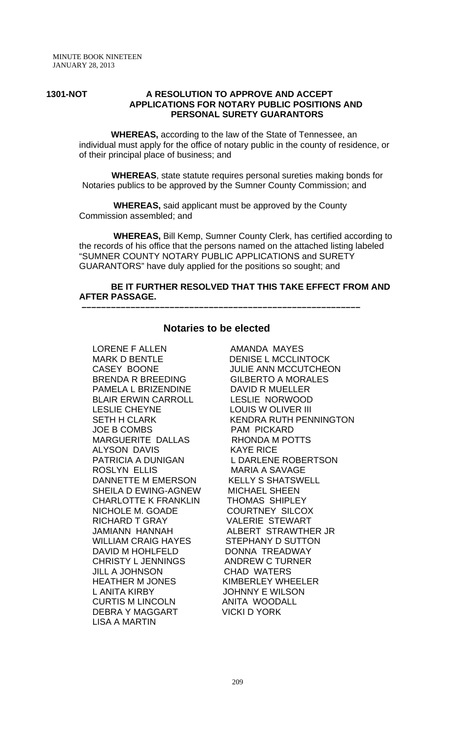#### **1301-NOT A RESOLUTION TO APPROVE AND ACCEPT APPLICATIONS FOR NOTARY PUBLIC POSITIONS AND PERSONAL SURETY GUARANTORS**

 **WHEREAS,** according to the law of the State of Tennessee, an individual must apply for the office of notary public in the county of residence, or of their principal place of business; and

 **WHEREAS**, state statute requires personal sureties making bonds for Notaries publics to be approved by the Sumner County Commission; and

 **WHEREAS,** said applicant must be approved by the County Commission assembled; and

 **WHEREAS,** Bill Kemp, Sumner County Clerk, has certified according to the records of his office that the persons named on the attached listing labeled "SUMNER COUNTY NOTARY PUBLIC APPLICATIONS and SURETY GUARANTORS" have duly applied for the positions so sought; and

### **BE IT FURTHER RESOLVED THAT THIS TAKE EFFECT FROM AND AFTER PASSAGE.**

# **Notaries to be elected**

 **–––––––––––––––––––––––––––––––––––––––––––––––––––––––––**

LORENE F ALLEN AMANDA MAYES MARK D BENTLE DENISE L MCCLINTOCK BRENDA R BREEDING GILBERTO A MORALES PAMELA L BRIZENDINE DAVID R MUELLER BLAIR ERWIN CARROLL LESLIE NORWOOD LESLIE CHEYNE LOUIS WOLIVER III JOE B COMBS PAM PICKARD MARGUERITE DALLAS RHONDA M POTTS ALYSON DAVIS KAYE RICE ROSLYN ELLIS MARIA A SAVAGE DANNETTE M EMERSON KELLY S SHATSWELL SHEILA D EWING-AGNEW MICHAEL SHEEN CHARLOTTE K FRANKLIN THOMAS SHIPLEY NICHOLE M. GOADE COURTNEY SILCOX RICHARD T GRAY VALERIE STEWART JAMIANN HANNAH ALBERT STRAWTHER JR WILLIAM CRAIG HAYES STEPHANY D SUTTON DAVID M HOHLFELD DONNA TREADWAY CHRISTY L JENNINGS ANDREW C TURNER JILL A JOHNSON CHAD WATERS HEATHER M JONES KIMBERLEY WHEELER L ANITA KIRBY JOHNNY E WILSON CURTIS M LINCOLN ANITA WOODALL DEBRA Y MAGGART VICKI D YORK LISA A MARTIN

CASEY BOONE JULIE ANN MCCUTCHEON SETH H CLARK KENDRA RUTH PENNINGTON PATRICIA A DUNIGAN L DARLENE ROBERTSON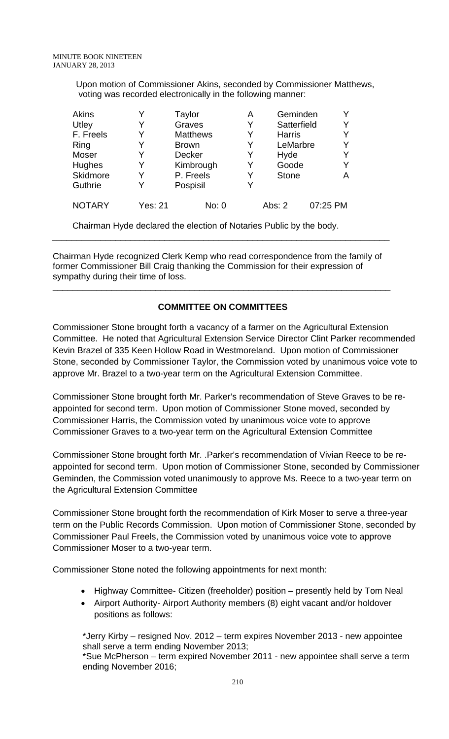Upon motion of Commissioner Akins, seconded by Commissioner Matthews, voting was recorded electronically in the following manner:

| <b>Akins</b>  | Y       | Taylor                                                              | A | Geminden      |          |
|---------------|---------|---------------------------------------------------------------------|---|---------------|----------|
| Utley         | Y       | Graves                                                              | Y | Satterfield   | Y        |
| F. Freels     | Y       | <b>Matthews</b>                                                     | Y | <b>Harris</b> | Y        |
| Ring          | Y       | <b>Brown</b>                                                        | Y | LeMarbre      | Y        |
| Moser         | Y       | Decker                                                              | Y | Hyde          | Y        |
| Hughes        | Y       | Kimbrough                                                           | Y | Goode         | Y        |
| Skidmore      | Y       | P. Freels                                                           | Y | <b>Stone</b>  | A        |
| Guthrie       | Y       | Pospisil                                                            | Y |               |          |
| <b>NOTARY</b> | Yes: 21 | No: 0                                                               |   | Abs: $2$      | 07:25 PM |
|               |         | Chairman Hyde declared the election of Notaries Public by the body. |   |               |          |

Chairman Hyde recognized Clerk Kemp who read correspondence from the family of former Commissioner Bill Craig thanking the Commission for their expression of sympathy during their time of loss.

\_\_\_\_\_\_\_\_\_\_\_\_\_\_\_\_\_\_\_\_\_\_\_\_\_\_\_\_\_\_\_\_\_\_\_\_\_\_\_\_\_\_\_\_\_\_\_\_\_\_\_\_\_\_\_\_\_\_\_\_\_\_\_\_\_\_\_\_\_

# **COMMITTEE ON COMMITTEES**

\_\_\_\_\_\_\_\_\_\_\_\_\_\_\_\_\_\_\_\_\_\_\_\_\_\_\_\_\_\_\_\_\_\_\_\_\_\_\_\_\_\_\_\_\_\_\_\_\_\_\_\_\_\_\_\_\_\_\_\_\_\_\_\_\_\_\_\_\_

Commissioner Stone brought forth a vacancy of a farmer on the Agricultural Extension Committee. He noted that Agricultural Extension Service Director Clint Parker recommended Kevin Brazel of 335 Keen Hollow Road in Westmoreland. Upon motion of Commissioner Stone, seconded by Commissioner Taylor, the Commission voted by unanimous voice vote to approve Mr. Brazel to a two-year term on the Agricultural Extension Committee.

Commissioner Stone brought forth Mr. Parker's recommendation of Steve Graves to be reappointed for second term. Upon motion of Commissioner Stone moved, seconded by Commissioner Harris, the Commission voted by unanimous voice vote to approve Commissioner Graves to a two-year term on the Agricultural Extension Committee

Commissioner Stone brought forth Mr. .Parker's recommendation of Vivian Reece to be reappointed for second term. Upon motion of Commissioner Stone, seconded by Commissioner Geminden, the Commission voted unanimously to approve Ms. Reece to a two-year term on the Agricultural Extension Committee

Commissioner Stone brought forth the recommendation of Kirk Moser to serve a three-year term on the Public Records Commission. Upon motion of Commissioner Stone, seconded by Commissioner Paul Freels, the Commission voted by unanimous voice vote to approve Commissioner Moser to a two-year term.

Commissioner Stone noted the following appointments for next month:

- Highway Committee- Citizen (freeholder) position presently held by Tom Neal
- Airport Authority- Airport Authority members (8) eight vacant and/or holdover positions as follows:

\*Jerry Kirby – resigned Nov. 2012 – term expires November 2013 - new appointee shall serve a term ending November 2013;

\*Sue McPherson – term expired November 2011 - new appointee shall serve a term ending November 2016;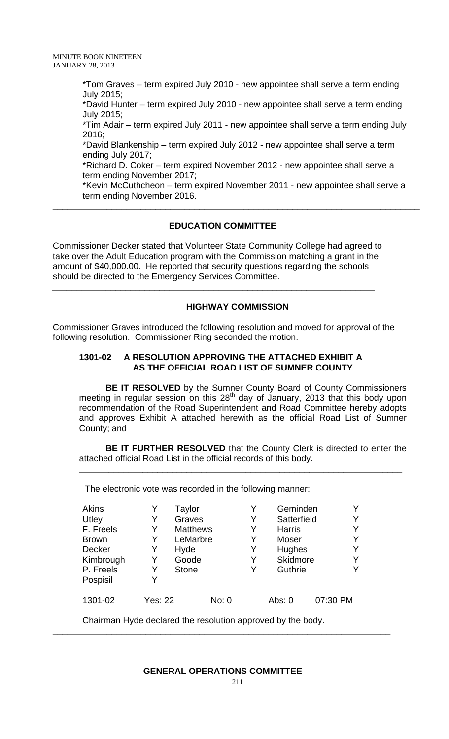MINUTE BOOK NINETEEN JANUARY 28, 2013

> \*Tom Graves – term expired July 2010 - new appointee shall serve a term ending July 2015;

> \*David Hunter – term expired July 2010 - new appointee shall serve a term ending July 2015;

\*Tim Adair – term expired July 2011 - new appointee shall serve a term ending July 2016;

\*David Blankenship – term expired July 2012 - new appointee shall serve a term ending July 2017;

\*Richard D. Coker – term expired November 2012 - new appointee shall serve a term ending November 2017;

\_\_\_\_\_\_\_\_\_\_\_\_\_\_\_\_\_\_\_\_\_\_\_\_\_\_\_\_\_\_\_\_\_\_\_\_\_\_\_\_\_\_\_\_\_\_\_\_\_\_\_\_\_\_\_\_\_\_\_\_\_\_\_\_\_\_\_\_\_\_\_\_\_\_\_

\*Kevin McCuthcheon – term expired November 2011 - new appointee shall serve a term ending November 2016.

### **EDUCATION COMMITTEE**

Commissioner Decker stated that Volunteer State Community College had agreed to take over the Adult Education program with the Commission matching a grant in the amount of \$40,000.00. He reported that security questions regarding the schools should be directed to the Emergency Services Committee.

 $\overline{\phantom{a}}$  , and the contribution of the contribution of the contribution of the contribution of the contribution of the contribution of the contribution of the contribution of the contribution of the contribution of the

### **HIGHWAY COMMISSION**

Commissioner Graves introduced the following resolution and moved for approval of the following resolution. Commissioner Ring seconded the motion.

### **1301-02 A RESOLUTION APPROVING THE ATTACHED EXHIBIT A AS THE OFFICIAL ROAD LIST OF SUMNER COUNTY**

**BE IT RESOLVED** by the Sumner County Board of County Commissioners meeting in regular session on this 28<sup>th</sup> day of January, 2013 that this body upon recommendation of the Road Superintendent and Road Committee hereby adopts and approves Exhibit A attached herewith as the official Road List of Sumner County; and

**BE IT FURTHER RESOLVED** that the County Clerk is directed to enter the attached official Road List in the official records of this body.

\_\_\_\_\_\_\_\_\_\_\_\_\_\_\_\_\_\_\_\_\_\_\_\_\_\_\_\_\_\_\_\_\_\_\_\_\_\_\_\_\_\_\_\_\_\_\_\_\_\_\_\_\_\_\_\_\_\_\_\_\_\_\_\_\_\_

The electronic vote was recorded in the following manner:

| <b>Akins</b><br>Utley<br>F. Freels<br><b>Brown</b><br><b>Decker</b><br>Kimbrough<br>P. Freels<br>Pospisil | Y<br>Y<br>Y<br>Y<br>Y | Taylor<br>Graves<br><b>Matthews</b><br>LeMarbre<br>Hyde<br>Goode<br><b>Stone</b> |       | Y<br>Y<br>Y<br>Y<br>Y<br>Y<br>Y | Geminden<br>Satterfield<br><b>Harris</b><br>Moser<br>Hughes<br><b>Skidmore</b><br>Guthrie |          |
|-----------------------------------------------------------------------------------------------------------|-----------------------|----------------------------------------------------------------------------------|-------|---------------------------------|-------------------------------------------------------------------------------------------|----------|
| 1301-02                                                                                                   | Yes: 22               |                                                                                  | No: 0 |                                 | Abs: 0                                                                                    | 07:30 PM |

Chairman Hyde declared the resolution approved by the body.

### **GENERAL OPERATIONS COMMITTEE**

**\_\_\_\_\_\_\_\_\_\_\_\_\_\_\_\_\_\_\_\_\_\_\_\_\_\_\_\_\_\_\_\_\_\_\_\_\_\_\_\_\_\_\_\_\_\_\_\_\_\_\_\_\_\_\_\_\_\_\_\_\_\_\_\_\_\_\_\_\_**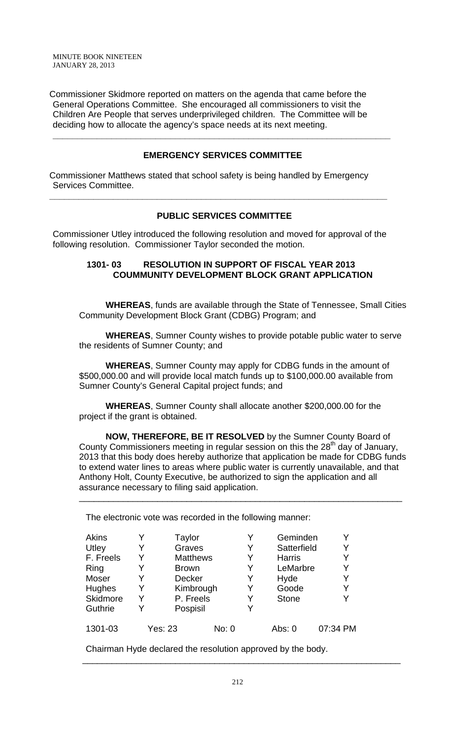MINUTE BOOK NINETEEN JANUARY 28, 2013

Commissioner Skidmore reported on matters on the agenda that came before the General Operations Committee. She encouraged all commissioners to visit the Children Are People that serves underprivileged children. The Committee will be deciding how to allocate the agency's space needs at its next meeting.

### **EMERGENCY SERVICES COMMITTEE**

**\_\_\_\_\_\_\_\_\_\_\_\_\_\_\_\_\_\_\_\_\_\_\_\_\_\_\_\_\_\_\_\_\_\_\_\_\_\_\_\_\_\_\_\_\_\_\_\_\_\_\_\_\_\_\_\_\_\_\_\_\_\_\_\_\_\_\_\_\_** 

Commissioner Matthews stated that school safety is being handled by Emergency Services Committee.

### **PUBLIC SERVICES COMMITTEE**

Commissioner Utley introduced the following resolution and moved for approval of the following resolution. Commissioner Taylor seconded the motion.

**\_\_\_\_\_\_\_\_\_\_\_\_\_\_\_\_\_\_\_\_\_\_\_\_\_\_\_\_\_\_\_\_\_\_\_\_\_\_\_\_\_\_\_\_\_\_\_\_\_\_\_\_\_\_\_\_\_\_\_\_\_\_\_\_\_\_\_\_\_** 

### **1301- 03 RESOLUTION IN SUPPORT OF FISCAL YEAR 2013 COUMMUNITY DEVELOPMENT BLOCK GRANT APPLICATION**

**WHEREAS**, funds are available through the State of Tennessee, Small Cities Community Development Block Grant (CDBG) Program; and

**WHEREAS**, Sumner County wishes to provide potable public water to serve the residents of Sumner County; and

**WHEREAS**, Sumner County may apply for CDBG funds in the amount of \$500,000.00 and will provide local match funds up to \$100,000.00 available from Sumner County's General Capital project funds; and

**WHEREAS**, Sumner County shall allocate another \$200,000.00 for the project if the grant is obtained.

**NOW, THEREFORE, BE IT RESOLVED** by the Sumner County Board of County Commissioners meeting in regular session on this the  $28<sup>th</sup>$  day of January, 2013 that this body does hereby authorize that application be made for CDBG funds to extend water lines to areas where public water is currently unavailable, and that Anthony Holt, County Executive, be authorized to sign the application and all assurance necessary to filing said application.

\_\_\_\_\_\_\_\_\_\_\_\_\_\_\_\_\_\_\_\_\_\_\_\_\_\_\_\_\_\_\_\_\_\_\_\_\_\_\_\_\_\_\_\_\_\_\_\_\_\_\_\_\_\_\_\_\_\_\_\_\_\_\_\_\_\_

The electronic vote was recorded in the following manner:

| Akins     |   | Taylor          |               |   | Geminden      |          |
|-----------|---|-----------------|---------------|---|---------------|----------|
| Utley     | Y | Graves          |               | Y | Satterfield   | Y        |
| F. Freels | Y | <b>Matthews</b> |               | Y | <b>Harris</b> |          |
| Ring      |   |                 | <b>Brown</b>  |   | LeMarbre      | Y        |
| Moser     | Y |                 | <b>Decker</b> |   | Hyde          |          |
| Hughes    | Y |                 | Kimbrough     |   | Goode         |          |
| Skidmore  |   | P. Freels       |               | Y | <b>Stone</b>  |          |
| Guthrie   |   | Pospisil        |               |   |               |          |
| 1301-03   |   | Yes: 23         | No: 0         |   | Abs: 0        | 07:34 PM |

Chairman Hyde declared the resolution approved by the body.

\_\_\_\_\_\_\_\_\_\_\_\_\_\_\_\_\_\_\_\_\_\_\_\_\_\_\_\_\_\_\_\_\_\_\_\_\_\_\_\_\_\_\_\_\_\_\_\_\_\_\_\_\_\_\_\_\_\_\_\_\_\_\_\_\_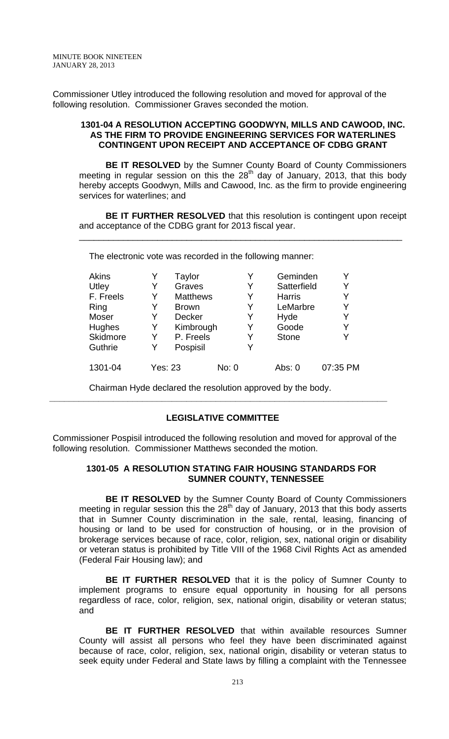Commissioner Utley introduced the following resolution and moved for approval of the following resolution. Commissioner Graves seconded the motion.

### **1301-04 A RESOLUTION ACCEPTING GOODWYN, MILLS AND CAWOOD, INC. AS THE FIRM TO PROVIDE ENGINEERING SERVICES FOR WATERLINES CONTINGENT UPON RECEIPT AND ACCEPTANCE OF CDBG GRANT**

**BE IT RESOLVED** by the Sumner County Board of County Commissioners meeting in regular session on this the  $28<sup>th</sup>$  day of January, 2013, that this body hereby accepts Goodwyn, Mills and Cawood, Inc. as the firm to provide engineering services for waterlines; and

**BE IT FURTHER RESOLVED** that this resolution is contingent upon receipt and acceptance of the CDBG grant for 2013 fiscal year.

\_\_\_\_\_\_\_\_\_\_\_\_\_\_\_\_\_\_\_\_\_\_\_\_\_\_\_\_\_\_\_\_\_\_\_\_\_\_\_\_\_\_\_\_\_\_\_\_\_\_\_\_\_\_\_\_\_\_\_\_\_\_\_\_\_\_

The electronic vote was recorded in the following manner:

| Akins     |                | Taylor          |       | Y | Geminden      |          |
|-----------|----------------|-----------------|-------|---|---------------|----------|
| Utley     | Y              | Graves          |       | Y | Satterfield   | Y        |
| F. Freels | Y              | <b>Matthews</b> |       | Y | <b>Harris</b> | Y        |
| Ring      | Y              | <b>Brown</b>    |       | Y | LeMarbre      | Y        |
| Moser     | Y              | <b>Decker</b>   |       | Y | Hyde          | Y        |
| Hughes    | Y              | Kimbrough       |       | Y | Goode         | Y        |
| Skidmore  | Y              | P. Freels       |       | Y | <b>Stone</b>  | Y        |
| Guthrie   | Y              | Pospisil        |       | Y |               |          |
| 1301-04   | <b>Yes: 23</b> |                 | No: 0 |   | Abs: 0        | 07:35 PM |

Chairman Hyde declared the resolution approved by the body.

# **LEGISLATIVE COMMITTEE**

**\_\_\_\_\_\_\_\_\_\_\_\_\_\_\_\_\_\_\_\_\_\_\_\_\_\_\_\_\_\_\_\_\_\_\_\_\_\_\_\_\_\_\_\_\_\_\_\_\_\_\_\_\_\_\_\_\_\_\_\_\_\_\_\_\_\_\_\_\_** 

Commissioner Pospisil introduced the following resolution and moved for approval of the following resolution. Commissioner Matthews seconded the motion.

### **1301-05 A RESOLUTION STATING FAIR HOUSING STANDARDS FOR SUMNER COUNTY, TENNESSEE**

**BE IT RESOLVED** by the Sumner County Board of County Commissioners meeting in regular session this the  $28<sup>th</sup>$  day of January, 2013 that this body asserts that in Sumner County discrimination in the sale, rental, leasing, financing of housing or land to be used for construction of housing, or in the provision of brokerage services because of race, color, religion, sex, national origin or disability or veteran status is prohibited by Title VIII of the 1968 Civil Rights Act as amended (Federal Fair Housing law); and

**BE IT FURTHER RESOLVED** that it is the policy of Sumner County to implement programs to ensure equal opportunity in housing for all persons regardless of race, color, religion, sex, national origin, disability or veteran status; and

**BE IT FURTHER RESOLVED** that within available resources Sumner County will assist all persons who feel they have been discriminated against because of race, color, religion, sex, national origin, disability or veteran status to seek equity under Federal and State laws by filling a complaint with the Tennessee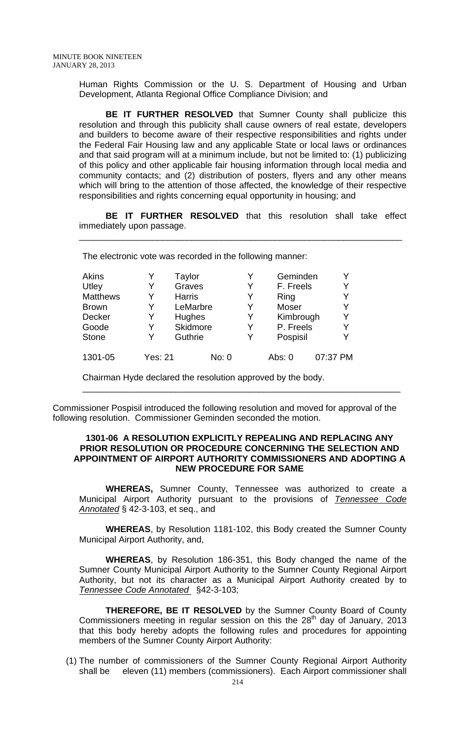Human Rights Commission or the U. S. Department of Housing and Urban Development, Atlanta Regional Office Compliance Division; and

**BE IT FURTHER RESOLVED** that Sumner County shall publicize this resolution and through this publicity shall cause owners of real estate, developers and builders to become aware of their respective responsibilities and rights under the Federal Fair Housing law and any applicable State or local laws or ordinances and that said program will at a minimum include, but not be limited to: (1) publicizing of this policy and other applicable fair housing information through local media and community contacts; and (2) distribution of posters, flyers and any other means which will bring to the attention of those affected, the knowledge of their respective responsibilities and rights concerning equal opportunity in housing; and

**BE IT FURTHER RESOLVED** that this resolution shall take effect immediately upon passage.

\_\_\_\_\_\_\_\_\_\_\_\_\_\_\_\_\_\_\_\_\_\_\_\_\_\_\_\_\_\_\_\_\_\_\_\_\_\_\_\_\_\_\_\_\_\_\_\_\_\_\_\_\_\_\_\_\_\_\_\_\_\_\_\_\_\_

The electronic vote was recorded in the following manner:

| Akins           |                | Taylor        |       | Geminden  | Y        |
|-----------------|----------------|---------------|-------|-----------|----------|
| Utley           | Y              | Graves        | Y     | F. Freels | Y        |
| <b>Matthews</b> | Y              | <b>Harris</b> | Y     | Ring      | Y        |
| <b>Brown</b>    | Y              | LeMarbre      | Y     | Moser     | Y        |
| Decker          | Y              | Hughes        | Y     | Kimbrough | Y        |
| Goode           | Y              | Skidmore      | Y     | P. Freels | Y        |
| <b>Stone</b>    | Y              | Guthrie       | Y     | Pospisil  | Y        |
| 1301-05         | <b>Yes: 21</b> |               | No: 0 | Abs: 0    | 07:37 PM |

Chairman Hyde declared the resolution approved by the body.

Commissioner Pospisil introduced the following resolution and moved for approval of the following resolution. Commissioner Geminden seconded the motion.

#### **1301-06 A RESOLUTION EXPLICITLY REPEALING AND REPLACING ANY PRIOR RESOLUTION OR PROCEDURE CONCERNING THE SELECTION AND APPOINTMENT OF AIRPORT AUTHORITY COMMISSIONERS AND ADOPTING A NEW PROCEDURE FOR SAME**

\_\_\_\_\_\_\_\_\_\_\_\_\_\_\_\_\_\_\_\_\_\_\_\_\_\_\_\_\_\_\_\_\_\_\_\_\_\_\_\_\_\_\_\_\_\_\_\_\_\_\_\_\_\_\_\_\_\_\_\_\_\_\_\_\_

 **WHEREAS,** Sumner County, Tennessee was authorized to create a Municipal Airport Authority pursuant to the provisions of *Tennessee Code Annotated* § 42-3-103, et seq., and

**WHEREAS**, by Resolution 1181-102, this Body created the Sumner County Municipal Airport Authority, and,

**WHEREAS**, by Resolution 186-351, this Body changed the name of the Sumner County Municipal Airport Authority to the Sumner County Regional Airport Authority, but not its character as a Municipal Airport Authority created by to *Tennessee Code Annotated* §42-3-103;

**THEREFORE, BE IT RESOLVED** by the Sumner County Board of County Commissioners meeting in regular session on this the  $28<sup>th</sup>$  day of January, 2013 that this body hereby adopts the following rules and procedures for appointing members of the Sumner County Airport Authority:

(1) The number of commissioners of the Sumner County Regional Airport Authority shall be eleven (11) members (commissioners). Each Airport commissioner shall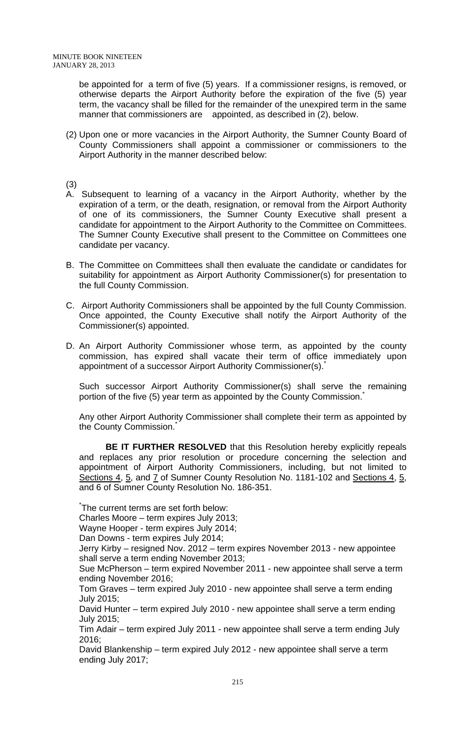be appointed for a term of five (5) years. If a commissioner resigns, is removed, or otherwise departs the Airport Authority before the expiration of the five (5) year term, the vacancy shall be filled for the remainder of the unexpired term in the same manner that commissioners are appointed, as described in (2), below.

(2) Upon one or more vacancies in the Airport Authority, the Sumner County Board of County Commissioners shall appoint a commissioner or commissioners to the Airport Authority in the manner described below:

(3)

- A. Subsequent to learning of a vacancy in the Airport Authority, whether by the expiration of a term, or the death, resignation, or removal from the Airport Authority of one of its commissioners, the Sumner County Executive shall present a candidate for appointment to the Airport Authority to the Committee on Committees. The Sumner County Executive shall present to the Committee on Committees one candidate per vacancy.
- B. The Committee on Committees shall then evaluate the candidate or candidates for suitability for appointment as Airport Authority Commissioner(s) for presentation to the full County Commission.
- C. Airport Authority Commissioners shall be appointed by the full County Commission. Once appointed, the County Executive shall notify the Airport Authority of the Commissioner(s) appointed.
- D. An Airport Authority Commissioner whose term, as appointed by the county commission, has expired shall vacate their term of office immediately upon appointment of a successor Airport Authority Commissioner(s).

Such successor Airport Authority Commissioner(s) shall serve the remaining portion of the five (5) year term as appointed by the County Commission.

Any other Airport Authority Commissioner shall complete their term as appointed by the County Commission.

**BE IT FURTHER RESOLVED** that this Resolution hereby explicitly repeals and replaces any prior resolution or procedure concerning the selection and appointment of Airport Authority Commissioners, including, but not limited to Sections 4, 5, and 7 of Sumner County Resolution No. 1181-102 and Sections 4, 5, and 6 of Sumner County Resolution No. 186-351.

\* The current terms are set forth below:

Charles Moore – term expires July 2013;

Wayne Hooper - term expires July 2014;

Dan Downs - term expires July 2014;

Jerry Kirby – resigned Nov. 2012 – term expires November 2013 - new appointee shall serve a term ending November 2013;

Sue McPherson – term expired November 2011 - new appointee shall serve a term ending November 2016;

Tom Graves – term expired July 2010 - new appointee shall serve a term ending July 2015;

David Hunter – term expired July 2010 - new appointee shall serve a term ending July 2015;

Tim Adair – term expired July 2011 - new appointee shall serve a term ending July 2016;

David Blankenship – term expired July 2012 - new appointee shall serve a term ending July 2017;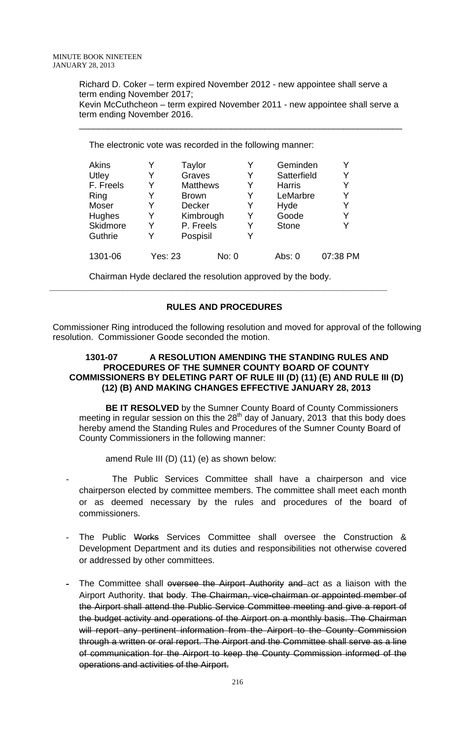Richard D. Coker – term expired November 2012 - new appointee shall serve a term ending November 2017; Kevin McCuthcheon – term expired November 2011 - new appointee shall serve a term ending November 2016.

\_\_\_\_\_\_\_\_\_\_\_\_\_\_\_\_\_\_\_\_\_\_\_\_\_\_\_\_\_\_\_\_\_\_\_\_\_\_\_\_\_\_\_\_\_\_\_\_\_\_\_\_\_\_\_\_\_\_\_\_\_\_\_\_\_\_

The electronic vote was recorded in the following manner:

| Akins     |                | Taylor          |               | Y | Geminden      |          |
|-----------|----------------|-----------------|---------------|---|---------------|----------|
| Utley     |                | Graves          |               | Y | Satterfield   | Y        |
| F. Freels | Y              | <b>Matthews</b> |               | Y | <b>Harris</b> | Y        |
| Ring      |                |                 | <b>Brown</b>  |   | LeMarbre      | Y        |
| Moser     | Y              |                 | <b>Decker</b> |   | Hyde          | Y        |
| Hughes    | Y              |                 | Kimbrough     |   | Goode         | Y        |
| Skidmore  |                | P. Freels       |               | Y | <b>Stone</b>  | Y        |
| Guthrie   | Y              | Pospisil        |               | Y |               |          |
| 1301-06   | <b>Yes: 23</b> |                 | No: 0         |   | Abs: 0        | 07:38 PM |

Chairman Hyde declared the resolution approved by the body.

# **RULES AND PROCEDURES**

**\_\_\_\_\_\_\_\_\_\_\_\_\_\_\_\_\_\_\_\_\_\_\_\_\_\_\_\_\_\_\_\_\_\_\_\_\_\_\_\_\_\_\_\_\_\_\_\_\_\_\_\_\_\_\_\_\_\_\_\_\_\_\_\_\_\_\_\_\_** 

Commissioner Ring introduced the following resolution and moved for approval of the following resolution. Commissioner Goode seconded the motion.

### 1301-07 A RESOLUTION AMENDING THE STANDING RULES AND **PROCEDURES OF THE SUMNER COUNTY BOARD OF COUNTY COMMISSIONERS BY DELETING PART OF RULE III (D) (11) (E) AND RULE III (D) (12) (B) AND MAKING CHANGES EFFECTIVE JANUARY 28, 2013**

**BE IT RESOLVED** by the Sumner County Board of County Commissioners meeting in regular session on this the  $28<sup>th</sup>$  day of January, 2013 that this body does hereby amend the Standing Rules and Procedures of the Sumner County Board of County Commissioners in the following manner:

amend Rule III (D) (11) (e) as shown below:

- The Public Services Committee shall have a chairperson and vice chairperson elected by committee members. The committee shall meet each month or as deemed necessary by the rules and procedures of the board of commissioners.
- The Public Works Services Committee shall oversee the Construction & Development Department and its duties and responsibilities not otherwise covered or addressed by other committees.
- The Committee shall oversee the Airport Authority and act as a liaison with the Airport Authority. that body. The Chairman, vice-chairman or appointed member of the Airport shall attend the Public Service Committee meeting and give a report of the budget activity and operations of the Airport on a monthly basis. The Chairman will report any pertinent information from the Airport to the County Commission through a written or oral report. The Airport and the Committee shall serve as a line of communication for the Airport to keep the County Commission informed of the operations and activities of the Airport.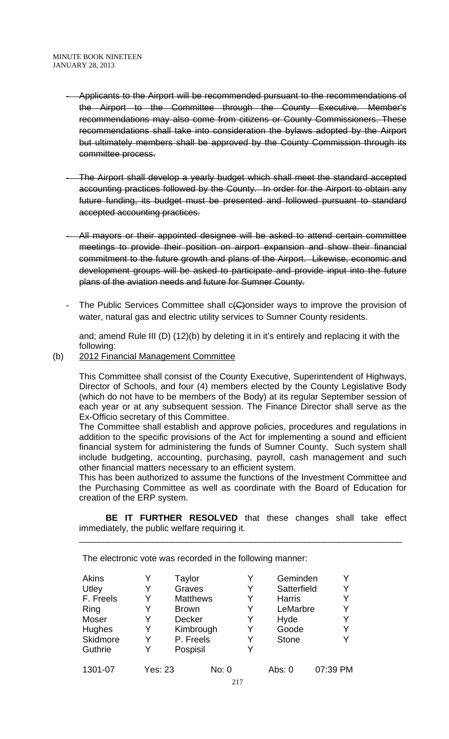- Applicants to the Airport will be recommended pursuant to the recommendations of the Airport to the Committee through the County Executive. Member's recommendations may also come from citizens or County Commissioners. These recommendations shall take into consideration the bylaws adopted by the Airport but ultimately members shall be approved by the County Commission through its committee process.
- The Airport shall develop a yearly budget which shall meet the standard accepted accounting practices followed by the County. In order for the Airport to obtain any future funding, its budget must be presented and followed pursuant to standard accepted accounting practices.
- All mayors or their appointed designee will be asked to attend certain committee meetings to provide their position on airport expansion and show their financial commitment to the future growth and plans of the Airport. Likewise, economic and development groups will be asked to participate and provide input into the future plans of the aviation needs and future for Sumner County.
- The Public Services Committee shall c(G)onsider ways to improve the provision of water, natural gas and electric utility services to Sumner County residents.

and; amend Rule III (D) (12)(b) by deleting it in it's entirely and replacing it with the following:

(b) 2012 Financial Management Committee

This Committee shall consist of the County Executive, Superintendent of Highways, Director of Schools, and four (4) members elected by the County Legislative Body (which do not have to be members of the Body) at its regular September session of each year or at any subsequent session. The Finance Director shall serve as the Ex-Officio secretary of this Committee.

The Committee shall establish and approve policies, procedures and regulations in addition to the specific provisions of the Act for implementing a sound and efficient financial system for administering the funds of Sumner County. Such system shall include budgeting, accounting, purchasing, payroll, cash management and such other financial matters necessary to an efficient system.

This has been authorized to assume the functions of the Investment Committee and the Purchasing Committee as well as coordinate with the Board of Education for creation of the ERP system.

**BE IT FURTHER RESOLVED** that these changes shall take effect immediately, the public welfare requiring it.

\_\_\_\_\_\_\_\_\_\_\_\_\_\_\_\_\_\_\_\_\_\_\_\_\_\_\_\_\_\_\_\_\_\_\_\_\_\_\_\_\_\_\_\_\_\_\_\_\_\_\_\_\_\_\_\_\_\_\_\_\_\_\_\_\_\_

The electronic vote was recorded in the following manner:

| Akins     |                | Taylor          |           | Y | Geminden      |          |
|-----------|----------------|-----------------|-----------|---|---------------|----------|
| Utley     | Y              | Graves          |           | Y | Satterfield   | Y        |
| F. Freels | Y              | <b>Matthews</b> |           | Y | <b>Harris</b> | Y        |
| Ring      | Y              | <b>Brown</b>    |           | Y | LeMarbre      | Y        |
| Moser     | Y              | <b>Decker</b>   |           | Y | Hyde          | Y        |
| Hughes    | Y              |                 | Kimbrough | Y | Goode         | Y        |
| Skidmore  | Y              | P. Freels       |           | Y | <b>Stone</b>  | Y        |
| Guthrie   | Y              | Pospisil        |           | Y |               |          |
| 1301-07   | <b>Yes: 23</b> |                 | No: 0     |   | Abs: 0        | 07:39 PM |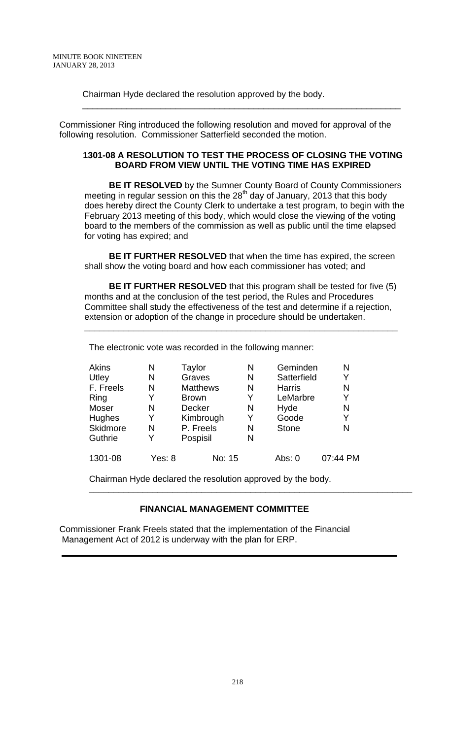Chairman Hyde declared the resolution approved by the body.

Commissioner Ring introduced the following resolution and moved for approval of the following resolution. Commissioner Satterfield seconded the motion.

#### **1301-08 A RESOLUTION TO TEST THE PROCESS OF CLOSING THE VOTING BOARD FROM VIEW UNTIL THE VOTING TIME HAS EXPIRED**

\_\_\_\_\_\_\_\_\_\_\_\_\_\_\_\_\_\_\_\_\_\_\_\_\_\_\_\_\_\_\_\_\_\_\_\_\_\_\_\_\_\_\_\_\_\_\_\_\_\_\_\_\_\_\_\_\_\_\_\_\_\_\_\_\_

 **BE IT RESOLVED** by the Sumner County Board of County Commissioners meeting in regular session on this the 28<sup>th</sup> day of January, 2013 that this body does hereby direct the County Clerk to undertake a test program, to begin with the February 2013 meeting of this body, which would close the viewing of the voting board to the members of the commission as well as public until the time elapsed for voting has expired; and

 **BE IT FURTHER RESOLVED** that when the time has expired, the screen shall show the voting board and how each commissioner has voted; and

 **BE IT FURTHER RESOLVED** that this program shall be tested for five (5) months and at the conclusion of the test period, the Rules and Procedures Committee shall study the effectiveness of the test and determine if a rejection, extension or adoption of the change in procedure should be undertaken.

**\_\_\_\_\_\_\_\_\_\_\_\_\_\_\_\_\_\_\_\_\_\_\_\_\_\_\_\_\_\_\_\_\_\_\_\_\_\_\_\_\_\_\_\_\_\_\_\_\_\_\_\_\_\_\_\_\_\_\_\_\_\_\_\_** 

The electronic vote was recorded in the following manner:

| Akins     | N      | Taylor          | N | Geminden      | N        |
|-----------|--------|-----------------|---|---------------|----------|
| Utley     | N      | Graves          | N | Satterfield   | Y        |
| F. Freels | N      | <b>Matthews</b> | N | <b>Harris</b> | N        |
| Ring      | Y      | <b>Brown</b>    | Y | LeMarbre      | Y        |
| Moser     | N      | <b>Decker</b>   | N | Hyde          | N        |
| Hughes    | Y      | Kimbrough       | Y | Goode         | Y        |
| Skidmore  | N      | P. Freels       | N | <b>Stone</b>  | N        |
| Guthrie   | Y      | Pospisil        | N |               |          |
| 1301-08   | Yes: 8 | No: 15          |   | Abs: 0        | 07:44 PM |

Chairman Hyde declared the resolution approved by the body.

# **FINANCIAL MANAGEMENT COMMITTEE**

**\_\_\_\_\_\_\_\_\_\_\_\_\_\_\_\_\_\_\_\_\_\_\_\_\_\_\_\_\_\_\_\_\_\_\_\_\_\_\_\_\_\_\_\_\_\_\_\_\_\_\_\_\_\_\_\_\_\_\_\_\_\_\_\_\_\_** 

Commissioner Frank Freels stated that the implementation of the Financial Management Act of 2012 is underway with the plan for ERP.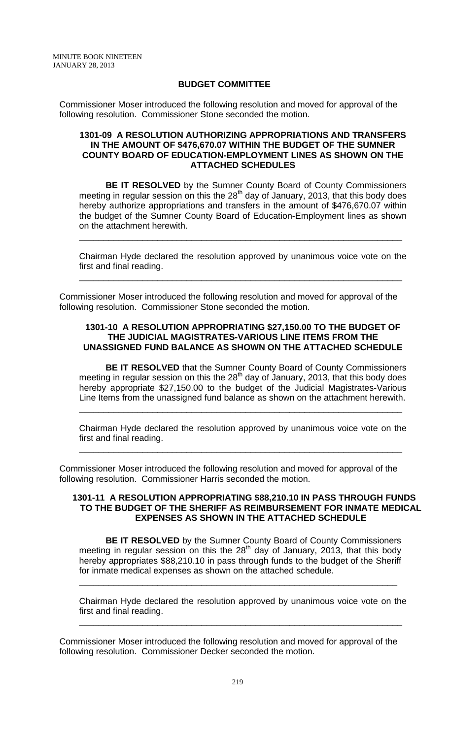### **BUDGET COMMITTEE**

Commissioner Moser introduced the following resolution and moved for approval of the following resolution. Commissioner Stone seconded the motion.

#### **1301-09 A RESOLUTION AUTHORIZING APPROPRIATIONS AND TRANSFERS IN THE AMOUNT OF \$476,670.07 WITHIN THE BUDGET OF THE SUMNER COUNTY BOARD OF EDUCATION-EMPLOYMENT LINES AS SHOWN ON THE ATTACHED SCHEDULES**

**BE IT RESOLVED** by the Sumner County Board of County Commissioners meeting in regular session on this the  $28<sup>th</sup>$  day of January, 2013, that this body does hereby authorize appropriations and transfers in the amount of \$476,670.07 within the budget of the Sumner County Board of Education-Employment lines as shown on the attachment herewith.

Chairman Hyde declared the resolution approved by unanimous voice vote on the first and final reading.

\_\_\_\_\_\_\_\_\_\_\_\_\_\_\_\_\_\_\_\_\_\_\_\_\_\_\_\_\_\_\_\_\_\_\_\_\_\_\_\_\_\_\_\_\_\_\_\_\_\_\_\_\_\_\_\_\_\_\_\_\_\_\_\_\_\_

\_\_\_\_\_\_\_\_\_\_\_\_\_\_\_\_\_\_\_\_\_\_\_\_\_\_\_\_\_\_\_\_\_\_\_\_\_\_\_\_\_\_\_\_\_\_\_\_\_\_\_\_\_\_\_\_\_\_\_\_\_\_\_\_\_\_

Commissioner Moser introduced the following resolution and moved for approval of the following resolution. Commissioner Stone seconded the motion.

### **1301-10 A RESOLUTION APPROPRIATING \$27,150.00 TO THE BUDGET OF THE JUDICIAL MAGISTRATES-VARIOUS LINE ITEMS FROM THE UNASSIGNED FUND BALANCE AS SHOWN ON THE ATTACHED SCHEDULE**

**BE IT RESOLVED** that the Sumner County Board of County Commissioners meeting in regular session on this the  $28<sup>th</sup>$  day of January, 2013, that this body does hereby appropriate \$27,150.00 to the budget of the Judicial Magistrates-Various Line Items from the unassigned fund balance as shown on the attachment herewith.

Chairman Hyde declared the resolution approved by unanimous voice vote on the first and final reading.

\_\_\_\_\_\_\_\_\_\_\_\_\_\_\_\_\_\_\_\_\_\_\_\_\_\_\_\_\_\_\_\_\_\_\_\_\_\_\_\_\_\_\_\_\_\_\_\_\_\_\_\_\_\_\_\_\_\_\_\_\_\_\_\_\_\_

\_\_\_\_\_\_\_\_\_\_\_\_\_\_\_\_\_\_\_\_\_\_\_\_\_\_\_\_\_\_\_\_\_\_\_\_\_\_\_\_\_\_\_\_\_\_\_\_\_\_\_\_\_\_\_\_\_\_\_\_\_\_\_\_\_\_

Commissioner Moser introduced the following resolution and moved for approval of the following resolution. Commissioner Harris seconded the motion.

### **1301-11 A RESOLUTION APPROPRIATING \$88,210.10 IN PASS THROUGH FUNDS TO THE BUDGET OF THE SHERIFF AS REIMBURSEMENT FOR INMATE MEDICAL EXPENSES AS SHOWN IN THE ATTACHED SCHEDULE**

**BE IT RESOLVED** by the Sumner County Board of County Commissioners meeting in regular session on this the 28<sup>th</sup> day of January, 2013, that this body hereby appropriates \$88,210.10 in pass through funds to the budget of the Sheriff for inmate medical expenses as shown on the attached schedule.

\_\_\_\_\_\_\_\_\_\_\_\_\_\_\_\_\_\_\_\_\_\_\_\_\_\_\_\_\_\_\_\_\_\_\_\_\_\_\_\_\_\_\_\_\_\_\_\_\_\_\_\_\_\_\_\_\_\_\_\_\_\_\_\_\_

Chairman Hyde declared the resolution approved by unanimous voice vote on the first and final reading.

\_\_\_\_\_\_\_\_\_\_\_\_\_\_\_\_\_\_\_\_\_\_\_\_\_\_\_\_\_\_\_\_\_\_\_\_\_\_\_\_\_\_\_\_\_\_\_\_\_\_\_\_\_\_\_\_\_\_\_\_\_\_\_\_\_\_

Commissioner Moser introduced the following resolution and moved for approval of the following resolution. Commissioner Decker seconded the motion.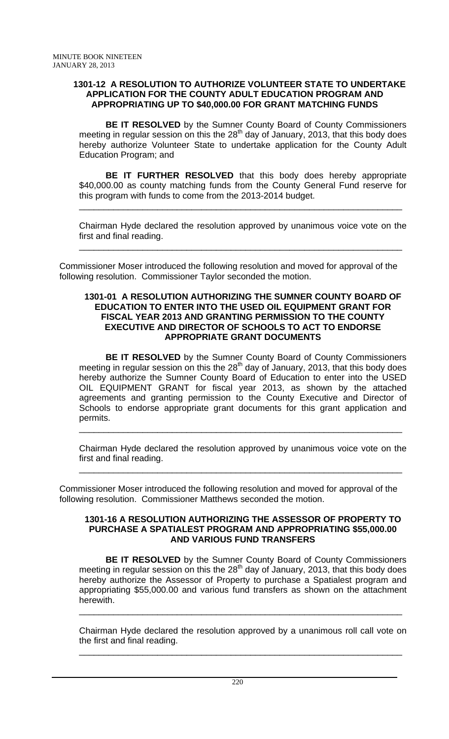### **1301-12 A RESOLUTION TO AUTHORIZE VOLUNTEER STATE TO UNDERTAKE APPLICATION FOR THE COUNTY ADULT EDUCATION PROGRAM AND APPROPRIATING UP TO \$40,000.00 FOR GRANT MATCHING FUNDS**

**BE IT RESOLVED** by the Sumner County Board of County Commissioners meeting in regular session on this the  $28<sup>th</sup>$  day of January, 2013, that this body does hereby authorize Volunteer State to undertake application for the County Adult Education Program; and

**BE IT FURTHER RESOLVED** that this body does hereby appropriate \$40,000.00 as county matching funds from the County General Fund reserve for this program with funds to come from the 2013-2014 budget.

\_\_\_\_\_\_\_\_\_\_\_\_\_\_\_\_\_\_\_\_\_\_\_\_\_\_\_\_\_\_\_\_\_\_\_\_\_\_\_\_\_\_\_\_\_\_\_\_\_\_\_\_\_\_\_\_\_\_\_\_\_\_\_\_\_\_

Chairman Hyde declared the resolution approved by unanimous voice vote on the first and final reading.

\_\_\_\_\_\_\_\_\_\_\_\_\_\_\_\_\_\_\_\_\_\_\_\_\_\_\_\_\_\_\_\_\_\_\_\_\_\_\_\_\_\_\_\_\_\_\_\_\_\_\_\_\_\_\_\_\_\_\_\_\_\_\_\_\_\_

Commissioner Moser introduced the following resolution and moved for approval of the following resolution. Commissioner Taylor seconded the motion.

### **1301-01 A RESOLUTION AUTHORIZING THE SUMNER COUNTY BOARD OF EDUCATION TO ENTER INTO THE USED OIL EQUIPMENT GRANT FOR FISCAL YEAR 2013 AND GRANTING PERMISSION TO THE COUNTY EXECUTIVE AND DIRECTOR OF SCHOOLS TO ACT TO ENDORSE APPROPRIATE GRANT DOCUMENTS**

**BE IT RESOLVED** by the Sumner County Board of County Commissioners meeting in regular session on this the  $28<sup>th</sup>$  day of January, 2013, that this body does hereby authorize the Sumner County Board of Education to enter into the USED OIL EQUIPMENT GRANT for fiscal year 2013, as shown by the attached agreements and granting permission to the County Executive and Director of Schools to endorse appropriate grant documents for this grant application and permits. \_\_\_\_\_\_\_\_\_\_\_\_\_\_\_\_\_\_\_\_\_\_\_\_\_\_\_\_\_\_\_\_\_\_\_\_\_\_\_\_\_\_\_\_\_\_\_\_\_\_\_\_\_\_\_\_\_\_\_\_\_\_\_\_\_\_

Chairman Hyde declared the resolution approved by unanimous voice vote on the first and final reading.

\_\_\_\_\_\_\_\_\_\_\_\_\_\_\_\_\_\_\_\_\_\_\_\_\_\_\_\_\_\_\_\_\_\_\_\_\_\_\_\_\_\_\_\_\_\_\_\_\_\_\_\_\_\_\_\_\_\_\_\_\_\_\_\_\_\_

Commissioner Moser introduced the following resolution and moved for approval of the following resolution. Commissioner Matthews seconded the motion.

### **1301-16 A RESOLUTION AUTHORIZING THE ASSESSOR OF PROPERTY TO PURCHASE A SPATIALEST PROGRAM AND APPROPRIATING \$55,000.00 AND VARIOUS FUND TRANSFERS**

**BE IT RESOLVED** by the Sumner County Board of County Commissioners meeting in regular session on this the  $28<sup>th</sup>$  day of January, 2013, that this body does hereby authorize the Assessor of Property to purchase a Spatialest program and appropriating \$55,000.00 and various fund transfers as shown on the attachment herewith. \_\_\_\_\_\_\_\_\_\_\_\_\_\_\_\_\_\_\_\_\_\_\_\_\_\_\_\_\_\_\_\_\_\_\_\_\_\_\_\_\_\_\_\_\_\_\_\_\_\_\_\_\_\_\_\_\_\_\_\_\_\_\_\_\_\_

Chairman Hyde declared the resolution approved by a unanimous roll call vote on the first and final reading.

\_\_\_\_\_\_\_\_\_\_\_\_\_\_\_\_\_\_\_\_\_\_\_\_\_\_\_\_\_\_\_\_\_\_\_\_\_\_\_\_\_\_\_\_\_\_\_\_\_\_\_\_\_\_\_\_\_\_\_\_\_\_\_\_\_\_